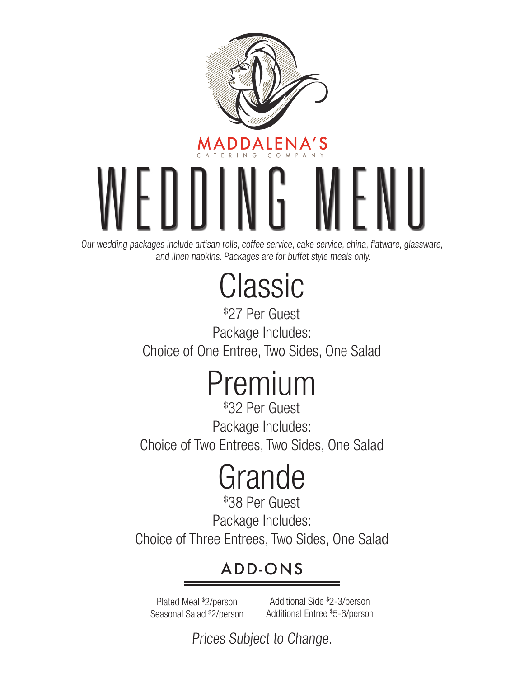

Our wedding packages include artisan rolls, coffee service, cake service, china, flatware, glassware, and linen napkins. Packages are for buffet style meals only.

# Classic

\$ 27 Per Guest Package Includes: Choice of One Entree, Two Sides, One Salad

# Premium

\$ 32 Per Guest Package Includes: Choice of Two Entrees, Two Sides, One Salad

# Grande

\$ 38 Per Guest Package Includes: Choice of Three Entrees, Two Sides, One Salad

# ADD-ONS

Plated Meal \$ 2/person Seasonal Salad \$ 2/person

Additional Side \$ 2-3/person Additional Entree \$ 5-6/person

Prices Subject to Change.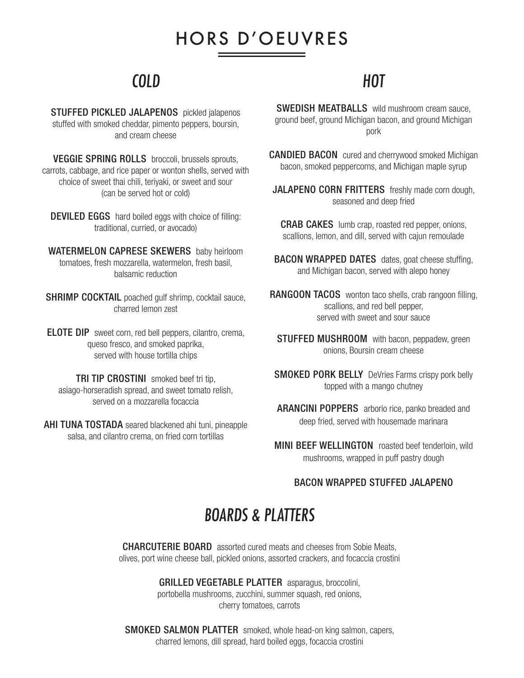# HORS D'OEUVRES

### COLD

STUFFED PICKLED JALAPENOS pickled jalapenos stuffed with smoked cheddar, pimento peppers, boursin, and cream cheese

VEGGIE SPRING ROLLS broccoli, brussels sprouts, carrots, cabbage, and rice paper or wonton shells, served with choice of sweet thai chili, teriyaki, or sweet and sour (can be served hot or cold)

DEVILED EGGS hard boiled eggs with choice of filling: traditional, curried, or avocado)

WATERMELON CAPRESE SKEWERS baby heirloom tomatoes, fresh mozzarella, watermelon, fresh basil, balsamic reduction

**SHRIMP COCKTAIL** poached gulf shrimp, cocktail sauce, charred lemon zest

ELOTE DIP sweet corn, red bell peppers, cilantro, crema, queso fresco, and smoked paprika, served with house tortilla chips

TRI TIP CROSTINI smoked beef tri tip, asiago-horseradish spread, and sweet tomato relish, served on a mozzarella focaccia

AHI TUNA TOSTADA seared blackened ahi tuni, pineapple salsa, and cilantro crema, on fried corn tortillas

### HOT

SWEDISH MEATBALLS wild mushroom cream sauce, ground beef, ground Michigan bacon, and ground Michigan pork

CANDIED BACON cured and cherrywood smoked Michigan bacon, smoked peppercorns, and Michigan maple syrup

JALAPENO CORN FRITTERS freshly made corn dough, seasoned and deep fried

CRAB CAKES lumb crap, roasted red pepper, onions, scallions, lemon, and dill, served with cajun remoulade

**BACON WRAPPED DATES** dates, goat cheese stuffing, and Michigan bacon, served with alepo honey

RANGOON TACOS wonton taco shells, crab rangoon filling, scallions, and red bell pepper, served with sweet and sour sauce

**STUFFED MUSHROOM** with bacon, peppadew, green onions, Boursin cream cheese

**SMOKED PORK BELLY** DeVries Farms crispy pork belly topped with a mango chutney

ARANCINI POPPERS arborio rice, panko breaded and deep fried, served with housemade marinara

**MINI BEEF WELLINGTON** roasted beef tenderloin, wild mushrooms, wrapped in puff pastry dough

#### BACON WRAPPED STUFFED JALAPENO

### BOARDS & PLATTERS

CHARCUTERIE BOARD assorted cured meats and cheeses from Sobie Meats, olives, port wine cheese ball, pickled onions, assorted crackers, and focaccia crostini

GRILLED VEGETABLE PLATTER asparagus, broccolini,

portobella mushrooms, zucchini, summer squash, red onions, cherry tomatoes, carrots

SMOKED SALMON PLATTER smoked, whole head-on king salmon, capers, charred lemons, dill spread, hard boiled eggs, focaccia crostini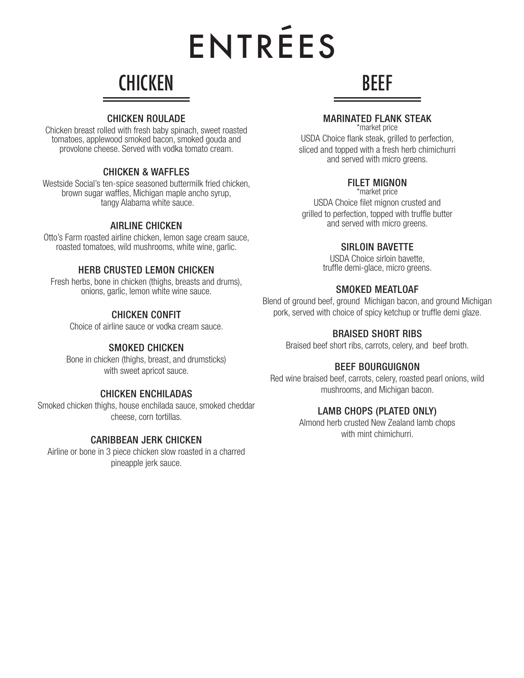# ENTREES  $\overline{\phantom{0}}$

# **CHICKEN**

#### CHICKEN ROULADE

Chicken breast rolled with fresh baby spinach, sweet roasted tomatoes, applewood smoked bacon, smoked gouda and provolone cheese. Served with vodka tomato cream.

#### CHICKEN & WAFFLES

Westside Social's ten-spice seasoned buttermilk fried chicken, brown sugar waffles, Michigan maple ancho syrup, tangy Alabama white sauce.

#### AIRLINE CHICKEN

Otto's Farm roasted airline chicken, lemon sage cream sauce, roasted tomatoes, wild mushrooms, white wine, garlic.

#### HERB CRUSTED LEMON CHICKEN

Fresh herbs, bone in chicken (thighs, breasts and drums), onions, garlic, lemon white wine sauce.

#### CHICKEN CONFIT

Choice of airline sauce or vodka cream sauce.

#### SMOKED CHICKEN

Bone in chicken (thighs, breast, and drumsticks) with sweet apricot sauce.

#### CHICKEN ENCHILADAS

Smoked chicken thighs, house enchilada sauce, smoked cheddar cheese, corn tortillas.

#### CARIBBEAN JERK CHICKEN

Airline or bone in 3 piece chicken slow roasted in a charred pineapple jerk sauce.

#### MARINATED FLANK STEAK

BEEF

\*market price

USDA Choice flank steak, grilled to perfection, sliced and topped with a fresh herb chimichurri and served with micro greens.

#### FILET MIGNON

\*market price USDA Choice filet mignon crusted and grilled to perfection, topped with truffle butter and served with micro greens.

#### SIRLOIN BAVETTE

USDA Choice sirloin bavette, truffle demi-glace, micro greens.

#### SMOKED MEATLOAF

Blend of ground beef, ground Michigan bacon, and ground Michigan pork, served with choice of spicy ketchup or truffle demi glaze.

#### BRAISED SHORT RIBS

Braised beef short ribs, carrots, celery, and beef broth.

#### BEEF BOURGUIGNON

Red wine braised beef, carrots, celery, roasted pearl onions, wild mushrooms, and Michigan bacon.

#### LAMB CHOPS (PLATED ONLY)

Almond herb crusted New Zealand lamb chops with mint chimichurri.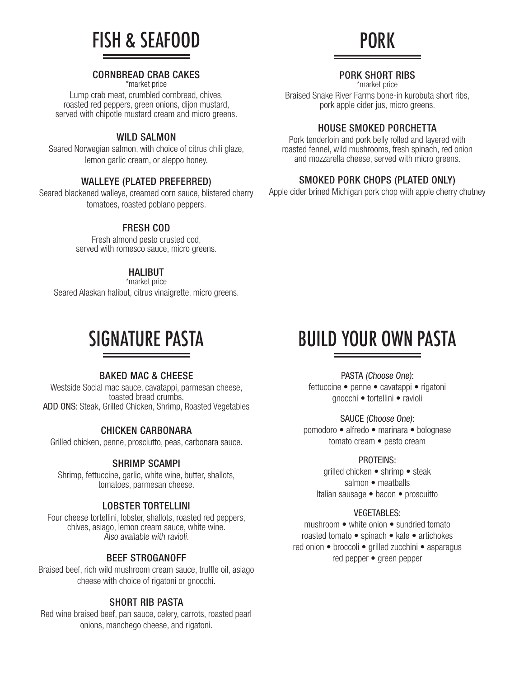

#### CORNBREAD CRAB CAKES

\*market price

Lump crab meat, crumbled cornbread, chives, roasted red peppers, green onions, dijon mustard, served with chipotle mustard cream and micro greens.

#### WILD SALMON

Seared Norwegian salmon, with choice of citrus chili glaze, lemon garlic cream, or aleppo honey.

#### WALLEYE (PLATED PREFERRED)

Seared blackened walleye, creamed corn sauce, blistered cherry tomatoes, roasted poblano peppers.

#### FRESH COD

Fresh almond pesto crusted cod, served with romesco sauce, micro greens.

#### HALIBUT

\*market price Seared Alaskan halibut, citrus vinaigrette, micro greens.

## SIGNATURE PASTA

#### BAKED MAC & CHEESE

Westside Social mac sauce, cavatappi, parmesan cheese, toasted bread crumbs. ADD ONS: Steak, Grilled Chicken, Shrimp, Roasted Vegetables

#### CHICKEN CARBONARA

Grilled chicken, penne, prosciutto, peas, carbonara sauce.

#### SHRIMP SCAMPI

Shrimp, fettuccine, garlic, white wine, butter, shallots, tomatoes, parmesan cheese.

#### LOBSTER TORTELLINI

Four cheese tortellini, lobster, shallots, roasted red peppers, chives, asiago, lemon cream sauce, white wine. Also available with ravioli.

#### BEEF STROGANOFF

Braised beef, rich wild mushroom cream sauce, truffle oil, asiago cheese with choice of rigatoni or gnocchi.

#### SHORT RIB PASTA

Red wine braised beef, pan sauce, celery, carrots, roasted pearl onions, manchego cheese, and rigatoni.

#### PORK SHORT RIBS

\*market price

Braised Snake River Farms bone-in kurobuta short ribs, pork apple cider jus, micro greens.

#### HOUSE SMOKED PORCHETTA

Pork tenderloin and pork belly rolled and layered with roasted fennel, wild mushrooms, fresh spinach, red onion and mozzarella cheese, served with micro greens.

#### SMOKED PORK CHOPS (PLATED ONLY)

Apple cider brined Michigan pork chop with apple cherry chutney

# BUILD YOUR OWN PASTA

PASTA (Choose One):

fettuccine • penne • cavatappi • rigatoni gnocchi • tortellini • ravioli

SAUCE (Choose One):

pomodoro • alfredo • marinara • bolognese tomato cream • pesto cream

#### PROTEINS:

grilled chicken • shrimp • steak salmon • meatballs Italian sausage • bacon • proscuitto

#### VEGETABLES:

mushroom • white onion • sundried tomato roasted tomato • spinach • kale • artichokes red onion • broccoli • grilled zucchini • asparagus red pepper • green pepper

# PORK